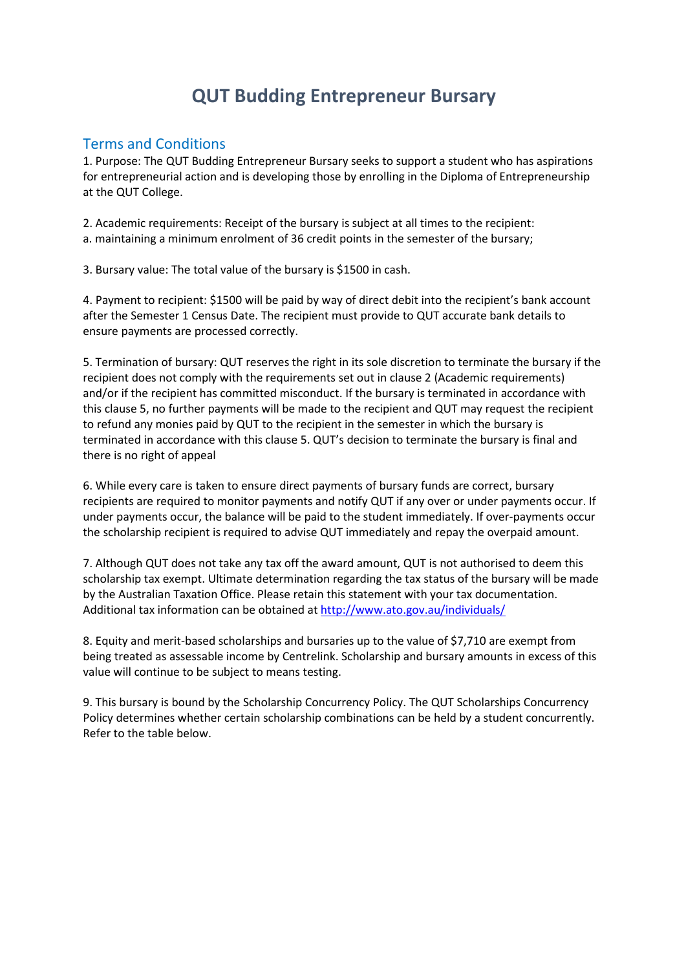## **QUT Budding Entrepreneur Bursary**

## Terms and Conditions

1. Purpose: The QUT Budding Entrepreneur Bursary seeks to support a student who has aspirations for entrepreneurial action and is developing those by enrolling in the Diploma of Entrepreneurship at the QUT College.

2. Academic requirements: Receipt of the bursary is subject at all times to the recipient: a. maintaining a minimum enrolment of 36 credit points in the semester of the bursary;

3. Bursary value: The total value of the bursary is \$1500 in cash.

4. Payment to recipient: \$1500 will be paid by way of direct debit into the recipient's bank account after the Semester 1 Census Date. The recipient must provide to QUT accurate bank details to ensure payments are processed correctly.

5. Termination of bursary: QUT reserves the right in its sole discretion to terminate the bursary if the recipient does not comply with the requirements set out in clause 2 (Academic requirements) and/or if the recipient has committed misconduct. If the bursary is terminated in accordance with this clause 5, no further payments will be made to the recipient and QUT may request the recipient to refund any monies paid by QUT to the recipient in the semester in which the bursary is terminated in accordance with this clause 5. QUT's decision to terminate the bursary is final and there is no right of appeal

6. While every care is taken to ensure direct payments of bursary funds are correct, bursary recipients are required to monitor payments and notify QUT if any over or under payments occur. If under payments occur, the balance will be paid to the student immediately. If over-payments occur the scholarship recipient is required to advise QUT immediately and repay the overpaid amount.

7. Although QUT does not take any tax off the award amount, QUT is not authorised to deem this scholarship tax exempt. Ultimate determination regarding the tax status of the bursary will be made by the Australian Taxation Office. Please retain this statement with your tax documentation. Additional tax information can be obtained at<http://www.ato.gov.au/individuals/>

8. Equity and merit-based scholarships and bursaries up to the value of \$7,710 are exempt from being treated as assessable income by Centrelink. Scholarship and bursary amounts in excess of this value will continue to be subject to means testing.

9. This bursary is bound by the Scholarship Concurrency Policy. The QUT Scholarships Concurrency Policy determines whether certain scholarship combinations can be held by a student concurrently. Refer to the table below.